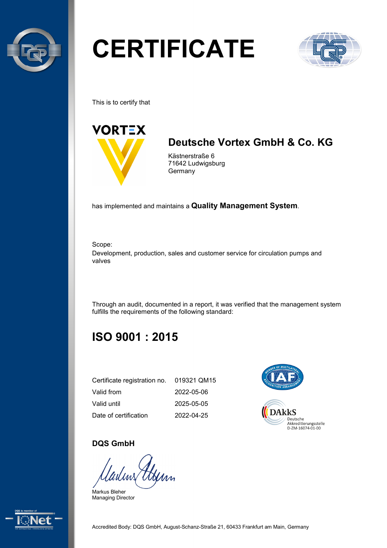

# **CERTIFICATE**



This is to certify that



## **Deutsche Vortex GmbH & Co. KG**

Kästnerstraße 6 71642 Ludwigsburg **Germany** 

has implemented and maintains a **Quality Management System**.

Scope:

Development, production, sales and customer service for circulation pumps and valves

Through an audit, documented in a report, it was verified that the management system fulfills the requirements of the following standard:

## **ISO 9001 : 2015**

| Certificate registration no. 019321 QM15 |            |
|------------------------------------------|------------|
| Valid from                               | 2022-05-06 |
| Valid until                              | 2025-05-05 |
| Date of certification                    | 2022-04-25 |



#### **DQS GmbH**

luv\$ Henn

Markus Bleher Managing Director

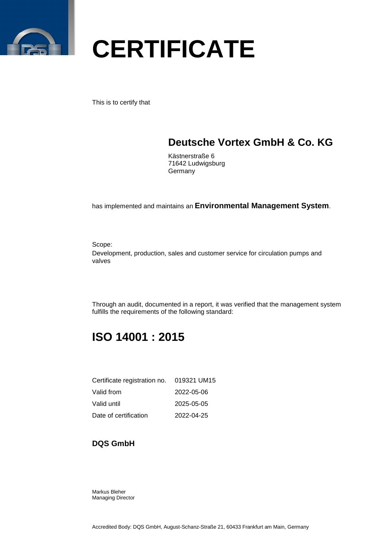

This is to certify that

### **Deutsche Vortex GmbH & Co. KG**

Kästnerstraße 6 71642 Ludwigsburg Germany

has implemented and maintains an **Environmental Management System**.

Scope:

Development, production, sales and customer service for circulation pumps and valves

Through an audit, documented in a report, it was verified that the management system fulfills the requirements of the following standard:

### **ISO 14001 : 2015**

| Certificate registration no. 019321 UM15 |            |
|------------------------------------------|------------|
| Valid from                               | 2022-05-06 |
| Valid until                              | 2025-05-05 |
| Date of certification                    | 2022-04-25 |

#### **DQS GmbH**

Markus Bleher Managing Director